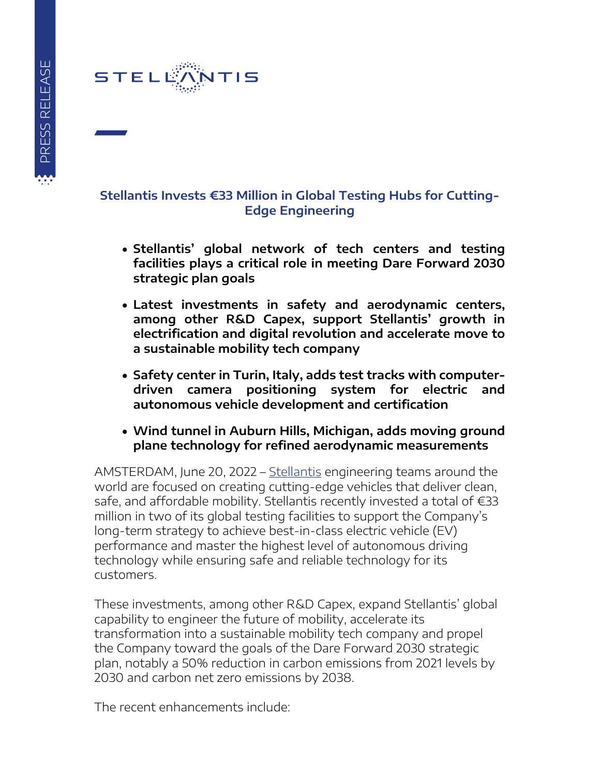

## **Stellantis Invests €33 Million in Global Testing Hubs for Cutting-Edge Engineering**

- **Stellantis' global network of tech centers and testing facilities plays a critical role in meeting Dare Forward 2030 strategic plan goals**
- **Latest investments in safety and aerodynamic centers, among other R&D Capex, support Stellantis' growth in electrification and digital revolution and accelerate move to a sustainable mobility tech company**
- **Safety center in Turin, Italy, adds test tracks with computerdriven camera positioning system for electric and autonomous vehicle development and certification**
- **Wind tunnel in Auburn Hills, Michigan, adds moving ground plane technology for refined aerodynamic measurements**

AMSTERDAM, June 20, 2022 – [Stellantis](https://www.stellantis.com/en) engineering teams around the world are focused on creating cutting-edge vehicles that deliver clean, safe, and affordable mobility. Stellantis recently invested a total of €33 million in two of its global testing facilities to support the Company's long-term strategy to achieve best-in-class electric vehicle (EV) performance and master the highest level of autonomous driving technology while ensuring safe and reliable technology for its customers.

These investments, among other R&D Capex, expand Stellantis' global capability to engineer the future of mobility, accelerate its transformation into a sustainable mobility tech company and propel the Company toward the goals of the Dare Forward 2030 strategic plan, notably a 50% reduction in carbon emissions from 2021 levels by 2030 and carbon net zero emissions by 2038.

The recent enhancements include: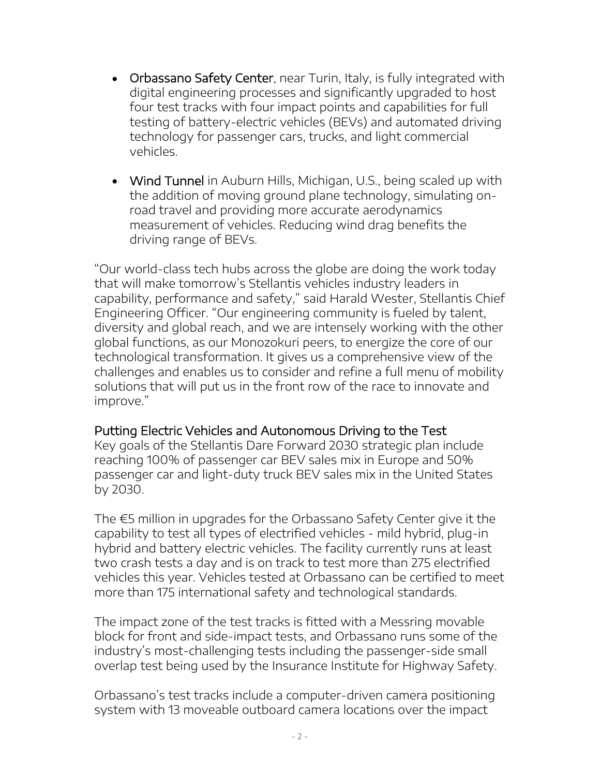- Orbassano Safety Center, near Turin, Italy, is fully integrated with digital engineering processes and significantly upgraded to host four test tracks with four impact points and capabilities for full testing of battery-electric vehicles (BEVs) and automated driving technology for passenger cars, trucks, and light commercial vehicles.
- Wind Tunnel in Auburn Hills, Michigan, U.S., being scaled up with the addition of moving ground plane technology, simulating onroad travel and providing more accurate aerodynamics measurement of vehicles. Reducing wind drag benefits the driving range of BEVs.

"Our world-class tech hubs across the globe are doing the work today that will make tomorrow's Stellantis vehicles industry leaders in capability, performance and safety," said Harald Wester, Stellantis Chief Engineering Officer. "Our engineering community is fueled by talent, diversity and global reach, and we are intensely working with the other global functions, as our Monozokuri peers, to energize the core of our technological transformation. It gives us a comprehensive view of the challenges and enables us to consider and refine a full menu of mobility solutions that will put us in the front row of the race to innovate and improve."

## Putting Electric Vehicles and Autonomous Driving to the Test

Key goals of the Stellantis Dare Forward 2030 strategic plan include reaching 100% of passenger car BEV sales mix in Europe and 50% passenger car and light-duty truck BEV sales mix in the United States by 2030.

The €5 million in upgrades for the Orbassano Safety Center give it the capability to test all types of electrified vehicles - mild hybrid, plug-in hybrid and battery electric vehicles. The facility currently runs at least two crash tests a day and is on track to test more than 275 electrified vehicles this year. Vehicles tested at Orbassano can be certified to meet more than 175 international safety and technological standards.

The impact zone of the test tracks is fitted with a Messring movable block for front and side-impact tests, and Orbassano runs some of the industry's most-challenging tests including the passenger-side small overlap test being used by the Insurance Institute for Highway Safety.

Orbassano's test tracks include a computer-driven camera positioning system with 13 moveable outboard camera locations over the impact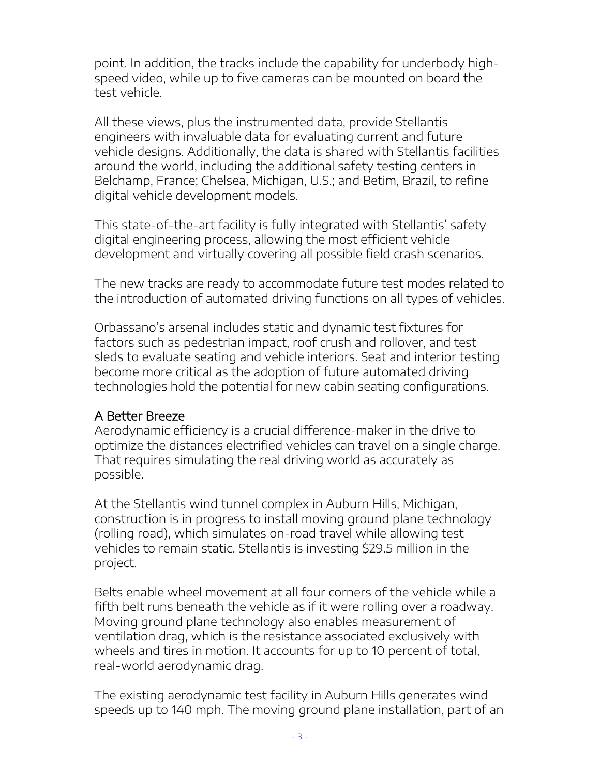point. In addition, the tracks include the capability for underbody highspeed video, while up to five cameras can be mounted on board the test vehicle.

All these views, plus the instrumented data, provide Stellantis engineers with invaluable data for evaluating current and future vehicle designs. Additionally, the data is shared with Stellantis facilities around the world, including the additional safety testing centers in Belchamp, France; Chelsea, Michigan, U.S.; and Betim, Brazil, to refine digital vehicle development models.

This state-of-the-art facility is fully integrated with Stellantis' safety digital engineering process, allowing the most efficient vehicle development and virtually covering all possible field crash scenarios.

The new tracks are ready to accommodate future test modes related to the introduction of automated driving functions on all types of vehicles.

Orbassano's arsenal includes static and dynamic test fixtures for factors such as pedestrian impact, roof crush and rollover, and test sleds to evaluate seating and vehicle interiors. Seat and interior testing become more critical as the adoption of future automated driving technologies hold the potential for new cabin seating configurations.

## A Better Breeze

Aerodynamic efficiency is a crucial difference-maker in the drive to optimize the distances electrified vehicles can travel on a single charge. That requires simulating the real driving world as accurately as possible.

At the Stellantis wind tunnel complex in Auburn Hills, Michigan, construction is in progress to install moving ground plane technology (rolling road), which simulates on-road travel while allowing test vehicles to remain static. Stellantis is investing \$29.5 million in the project.

Belts enable wheel movement at all four corners of the vehicle while a fifth belt runs beneath the vehicle as if it were rolling over a roadway. Moving ground plane technology also enables measurement of ventilation drag, which is the resistance associated exclusively with wheels and tires in motion. It accounts for up to 10 percent of total, real-world aerodynamic drag.

The existing aerodynamic test facility in Auburn Hills generates wind speeds up to 140 mph. The moving ground plane installation, part of an